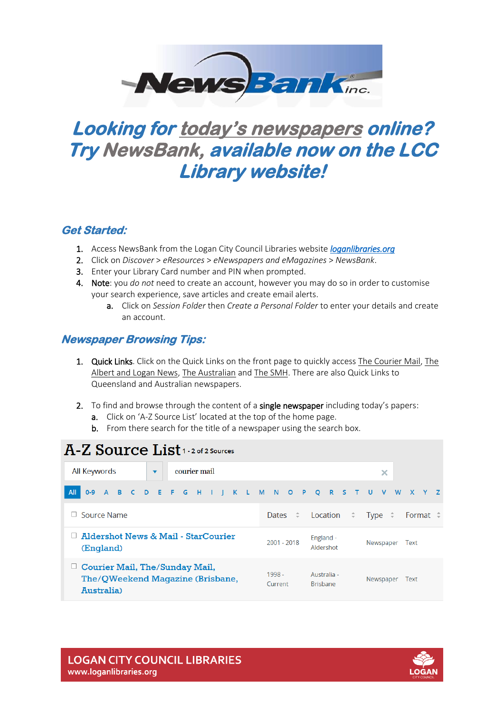

## **Looking for today's newspapers online? Try NewsBank, available now on the LCC Library website!**

## **Get Started:**

- 1. Access NewsBank from the Logan City Council Libraries website *[loganlibraries.org](http://loganlibraries.org/)*
- 2. Click on *Discover* > *eResources* > *eNewspapers and eMagazines* > *NewsBank*.
- 3. Enter your Library Card number and PIN when prompted.
- 4. Note: you *do not* need to create an account, however you may do so in order to customise your search experience, save articles and create email alerts.
	- a. Click on *Session Folder* then *Create a Personal Folder* to enter your details and create an account.

## **Newspaper Browsing Tips:**

- 1. Quick Links. Click on the Quick Links on the front page to quickly access The Courier Mail, The Albert and Logan News, The Australian and The SMH. There are also Quick Links to Queensland and Australian newspapers.
- 2. To find and browse through the content of a single newspaper including today's papers:
	- a. Click on 'A-Z Source List' located at the top of the home page.
	- b. From there search for the title of a newspaper using the search box.

| A-Z Source List 1 2 of 2 Sources                                                        |                                                                             |  |  |  |  |  |  |  |  |  |  |  |  |
|-----------------------------------------------------------------------------------------|-----------------------------------------------------------------------------|--|--|--|--|--|--|--|--|--|--|--|--|
| courier mail<br>All Keywords<br>$\overline{\phantom{a}}$                                | ×                                                                           |  |  |  |  |  |  |  |  |  |  |  |  |
| All<br>A B C D E F G<br>$0-9$<br>H I J K L M N                                          | O P Q R S<br>V<br><b>W</b><br>T U<br>$\mathsf{X}$<br>Y Z                    |  |  |  |  |  |  |  |  |  |  |  |  |
| Source Name                                                                             | Location $\hat{z}$<br>Dates $\hat{z}$<br>Type $\hat{z}$<br>Format $\hat{=}$ |  |  |  |  |  |  |  |  |  |  |  |  |
| Aldershot News & Mail - StarCourier<br>(England)                                        | England -<br>$2001 - 2018$<br>Newspaper<br>Text<br>Aldershot                |  |  |  |  |  |  |  |  |  |  |  |  |
| $\Box$ Courier Mail, The/Sunday Mail,<br>The/QWeekend Magazine (Brisbane,<br>Australia) | $1998 -$<br>Australia -<br>Newspaper<br>Text<br><b>Brisbane</b><br>Current  |  |  |  |  |  |  |  |  |  |  |  |  |